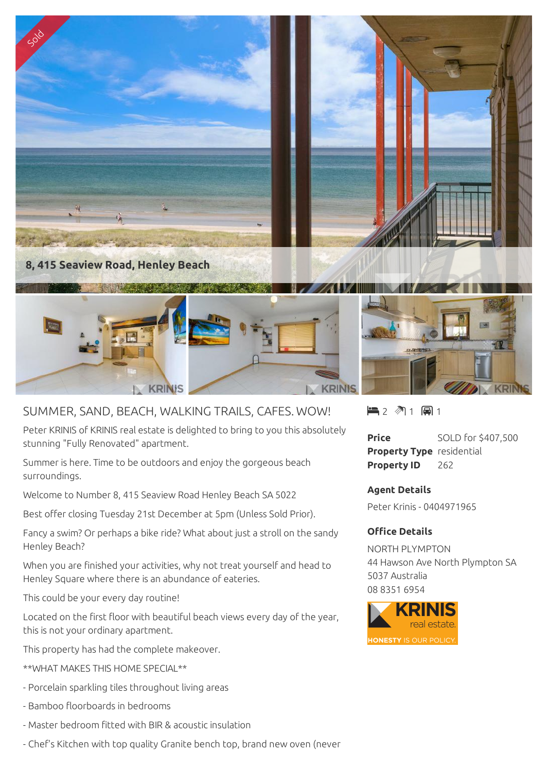

## SUMMER, SAND, BEACH, WALKING TRAILS, CAFES. WOW!

Peter KRINIS of KRINIS real estate is delighted to bring to you this absolutely stunning "Fully Renovated" apartment.

Summer is here. Time to be outdoors and enjoy the gorgeous beach surroundings.

Welcome to Number 8, 415 Seaview Road Henley Beach SA 5022

Best offer closing Tuesday 21st December at 5pm (Unless Sold Prior).

Fancy a swim? Or perhaps a bike ride? What about just a stroll on the sandy Henley Beach?

When you are finished your activities, why not treat yourself and head to Henley Square where there is an abundance of eateries.

This could be your every day routine!

Located on the first floor with beautiful beach views every day of the year, this is not your ordinary apartment.

This property has had the complete makeover.

- \*\*WHAT MAKES THIS HOME SPECIAL\*\*
- Porcelain sparkling tiles throughout living areas
- Bamboo floorboards in bedrooms
- Master bedroom fitted with BIR & acoustic insulation
- Chef's Kitchen with top quality Granite bench top, brand new oven (never

 $\blacksquare$  2  $\blacksquare$  1  $\blacksquare$  1

**Price** SOLD for \$407,500 **Property Type** residential **Property ID** 262

**Agent Details** Peter Krinis - 0404971965

## **Office Details**

NORTH PLYMPTON 44 Hawson Ave North Plympton SA 5037 Australia 08 8351 6954